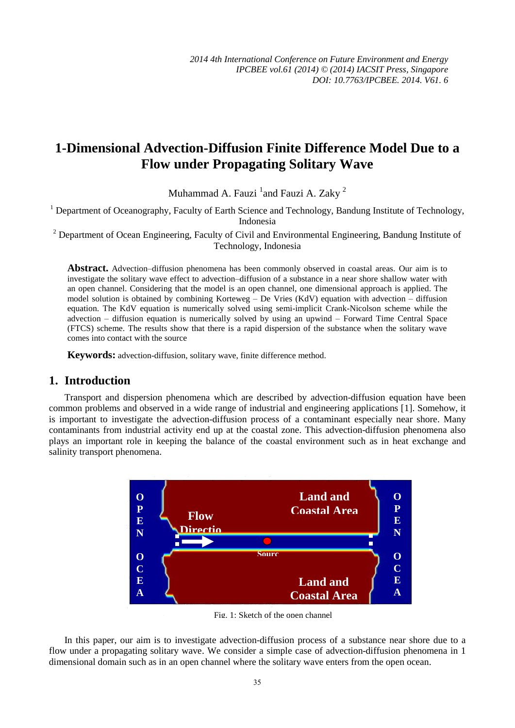# **1-Dimensional Advection-Diffusion Finite Difference Model Due to a Flow under Propagating Solitary Wave**

Muhammad A. Fauzi  $^1$ and Fauzi A. Zaky  $^2$ 

<sup>1</sup> Department of Oceanography, Faculty of Earth Science and Technology, Bandung Institute of Technology, Indonesia

 $2$  Department of Ocean Engineering, Faculty of Civil and Environmental Engineering, Bandung Institute of Technology, Indonesia

**Abstract.** Advection–diffusion phenomena has been commonly observed in coastal areas. Our aim is to investigate the solitary wave effect to advection–diffusion of a substance in a near shore shallow water with an open channel. Considering that the model is an open channel, one dimensional approach is applied. The model solution is obtained by combining Korteweg – De Vries (KdV) equation with advection – diffusion equation. The KdV equation is numerically solved using semi-implicit Crank-Nicolson scheme while the advection – diffusion equation is numerically solved by using an upwind – Forward Time Central Space (FTCS) scheme. The results show that there is a rapid dispersion of the substance when the solitary wave comes into contact with the source

**Keywords:** advection-diffusion, solitary wave, finite difference method.

## **1. Introduction**

Transport and dispersion phenomena which are described by advection-diffusion equation have been common problems and observed in a wide range of industrial and engineering applications [1]. Somehow, it is important to investigate the advection-diffusion process of a contaminant especially near shore. Many contaminants from industrial activity end up at the coastal zone. This advection-diffusion phenomena also plays an important role in keeping the balance of the coastal environment such as in heat exchange and salinity transport phenomena.



Fig. 1: Sketch of the open channel

In this paper, our aim is to investigate advection-diffusion process of a substance near shore due to a flow under a propagating solitary wave. We consider a simple case of advection-diffusion phenomena in 1 dimensional domain such as in an open channel where the solitary wave enters from the open ocean.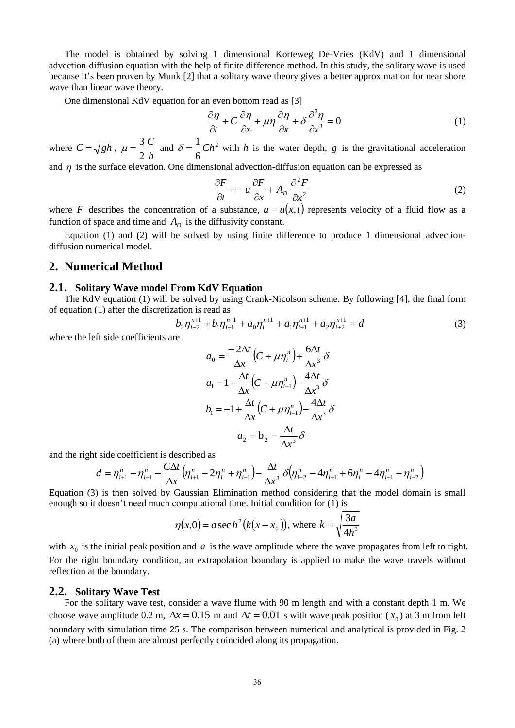The model is obtained by solving 1 dimensional Korteweg De-Vries (KdV) and 1 dimensional advection-diffusion equation with the help of finite difference method. In this study, the solitary wave is used because it's been proven by Munk [2] that a solitary wave theory gives a better approximation for near shore wave than linear wave theory.

One dimensional KdV equation for an even bottom read as [3]

$$
\frac{\partial \eta}{\partial t} + C \frac{\partial \eta}{\partial x} + \mu \eta \frac{\partial \eta}{\partial x} + \delta \frac{\partial^3 \eta}{\partial x^3} = 0
$$
 (1)

where  $C = \sqrt{gh}$ , *h C* 2  $\mu = \frac{3}{2} \frac{C}{l}$  and  $\delta = \frac{1}{6} C h^2$ 6  $\delta = \frac{1}{\epsilon} C h^2$  with h is the water depth, g is the gravitational acceleration

and  $\eta$  is the surface elevation. One dimensional advection-diffusion equation can be expressed as

$$
\frac{\partial F}{\partial t} = -u \frac{\partial F}{\partial x} + A_D \frac{\partial^2 F}{\partial x^2}
$$
 (2)

where F describes the concentration of a substance,  $u = u(x,t)$  represents velocity of a fluid flow as a function of space and time and  $A_D$  is the diffusivity constant.

Equation (1) and (2) will be solved by using finite difference to produce 1 dimensional advectiondiffusion numerical model.

### **2. Numerical Method**

#### **2.1. Solitary Wave model From KdV Equation**

The KdV equation (1) will be solved by using Crank-Nicolson scheme. By following [4], the final form of equation (1) after the discretization is read as

$$
b_2 \eta_{i-2}^{n+1} + b_1 \eta_{i-1}^{n+1} + a_0 \eta_i^{n+1} + a_1 \eta_{i+1}^{n+1} + a_2 \eta_{i+2}^{n+1} = d
$$
 (3)

where the left side coefficients are

$$
a_0 = \frac{-2\Delta t}{\Delta x} \left( C + \mu \eta_i^n \right) + \frac{6\Delta t}{\Delta x^3} \delta
$$
  
\n
$$
a_1 = 1 + \frac{\Delta t}{\Delta x} \left( C + \mu \eta_{i+1}^n \right) - \frac{4\Delta t}{\Delta x^3} \delta
$$
  
\n
$$
b_1 = -1 + \frac{\Delta t}{\Delta x} \left( C + \mu \eta_{i-1}^n \right) - \frac{4\Delta t}{\Delta x^3} \delta
$$
  
\n
$$
a_2 = b_2 = \frac{\Delta t}{\Delta x^3} \delta
$$

and the right side coefficient is described as

$$
d = \eta_{i+1}^n - \eta_{i-1}^n - \frac{C\Delta t}{\Delta x} \Big(\eta_{i+1}^n - 2\eta_i^n + \eta_{i-1}^n\Big) - \frac{\Delta t}{\Delta x^3} \delta \Big(\eta_{i+2}^n - 4\eta_{i+1}^n + 6\eta_i^n - 4\eta_{i-1}^n + \eta_{i-2}^n\Big)
$$

Equation (3) is then solved by Gaussian Elimination method considering that the model domain is small enough so it doesn't need much computational time. Initial condition for (1) is

$$
\eta(x,0) = a \sec h^2 (k(x - x_0))
$$
, where  $k = \sqrt{\frac{3a}{4h^3}}$ 

with  $x_0$  is the initial peak position and  $a$  is the wave amplitude where the wave propagates from left to right. For the right boundary condition, an extrapolation boundary is applied to make the wave travels without reflection at the boundary.

### **2.2. Solitary Wave Test**

For the solitary wave test, consider a wave flume with 90 m length and with a constant depth 1 m. We choose wave amplitude 0.2 m,  $\Delta x = 0.15$  m and  $\Delta t = 0.01$  s with wave peak position ( $x_0$ ) at 3 m from left boundary with simulation time 25 s. The comparison between numerical and analytical is provided in Fig. 2 (a) where both of them are almost perfectly coincided along its propagation.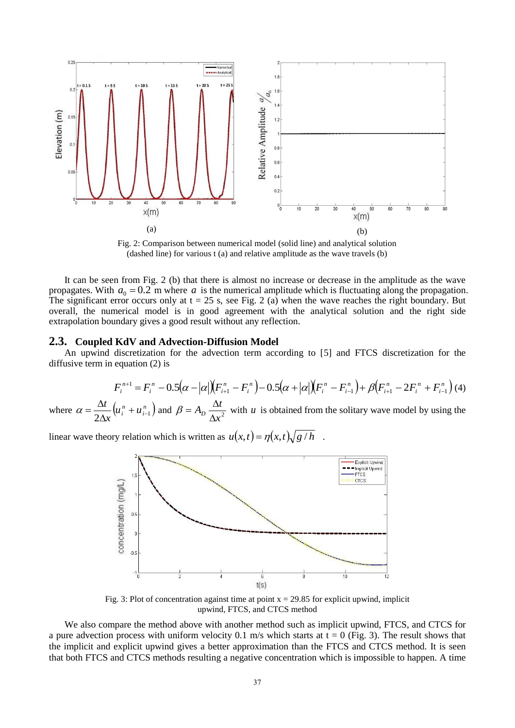

Fig. 2: Comparison between numerical model (solid line) and analytical solution (dashed line) for various t (a) and relative amplitude as the wave travels (b)

It can be seen from Fig. 2 (b) that there is almost no increase or decrease in the amplitude as the wave propagates. With  $a_0 = 0.2$  m where a is the numerical amplitude which is fluctuating along the propagation. The significant error occurs only at  $t = 25$  s, see Fig. 2 (a) when the wave reaches the right boundary. But overall, the numerical model is in good agreement with the analytical solution and the right side extrapolation boundary gives a good result without any reflection.

#### **2.3. Coupled KdV and Advection-Diffusion Model**

An upwind discretization for the advection term according to [5] and FTCS discretization for the diffusive term in equation (2) is

$$
F_i^{n+1} = F_i^n - 0.5(\alpha - |\alpha|)(F_{i+1}^n - F_i^n) - 0.5(\alpha + |\alpha|)(F_i^n - F_{i-1}^n) + \beta(F_{i+1}^n - 2F_i^n + F_{i-1}^n)
$$
(4)

where  $\alpha = \frac{\Delta u}{\Delta t} \left( u_i^n + u_{i-1}^n \right)$ *i*  $\frac{1}{x}(u_i^n + u)$ *t*  $\frac{\Delta u}{2\Delta x}\left(u_i^n + u_{i-1}^n\right)$  $\alpha = \frac{\Delta t}{2\Delta x} \left( u_i^n + u_{i-1}^n \right)$  and  $\beta = A_D \frac{\Delta t}{\Delta x^2}$  $A_D \frac{\Delta t}{\Delta x}$  $\beta = A_p \frac{\Delta t}{\Delta}$  with *u* is obtained from the solitary wave model by using the

linear wave theory relation which is written as  $u(x,t) = \eta(x,t) \sqrt{g/h}$ .



Fig. 3: Plot of concentration against time at point  $x = 29.85$  for explicit upwind, implicit upwind, FTCS, and CTCS method

We also compare the method above with another method such as implicit upwind, FTCS, and CTCS for a pure advection process with uniform velocity 0.1 m/s which starts at  $t = 0$  (Fig. 3). The result shows that the implicit and explicit upwind gives a better approximation than the FTCS and CTCS method. It is seen that both FTCS and CTCS methods resulting a negative concentration which is impossible to happen. A time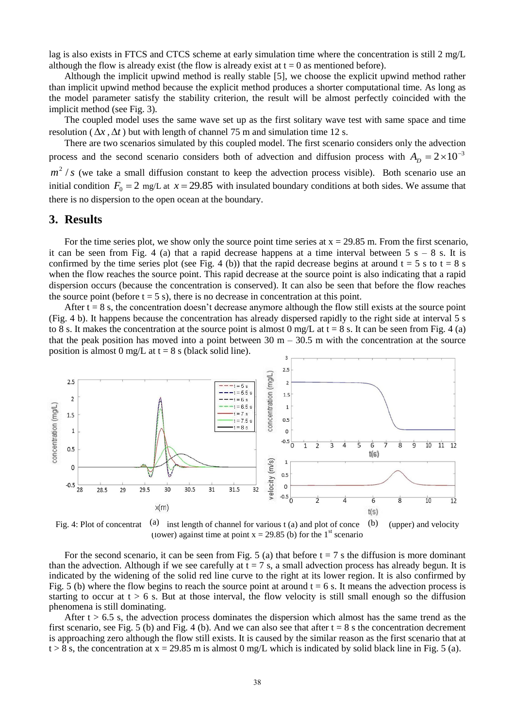lag is also exists in FTCS and CTCS scheme at early simulation time where the concentration is still 2 mg/L although the flow is already exist (the flow is already exist at  $t = 0$  as mentioned before).

Although the implicit upwind method is really stable [5], we choose the explicit upwind method rather than implicit upwind method because the explicit method produces a shorter computational time. As long as the model parameter satisfy the stability criterion, the result will be almost perfectly coincided with the implicit method (see Fig. 3).

The coupled model uses the same wave set up as the first solitary wave test with same space and time resolution ( $\Delta x$ ,  $\Delta t$ ) but with length of channel 75 m and simulation time 12 s.

There are two scenarios simulated by this coupled model. The first scenario considers only the advection process and the second scenario considers both of advection and diffusion process with  $A_D = 2 \times 10^{-3}$  $m^2$  / *s* (we take a small diffusion constant to keep the advection process visible). Both scenario use an initial condition  $F_0 = 2$  mg/L at  $x = 29.85$  with insulated boundary conditions at both sides. We assume that there is no dispersion to the open ocean at the boundary.

### **3. Results**

For the time series plot, we show only the source point time series at  $x = 29.85$  m. From the first scenario, it can be seen from Fig. 4 (a) that a rapid decrease happens at a time interval between  $5 s - 8 s$ . It is confirmed by the time series plot (see Fig. 4 (b)) that the rapid decrease begins at around  $t = 5$  s to  $t = 8$  s when the flow reaches the source point. This rapid decrease at the source point is also indicating that a rapid dispersion occurs (because the concentration is conserved). It can also be seen that before the flow reaches the source point (before  $t = 5$  s), there is no decrease in concentration at this point.

After  $t = 8$  s, the concentration doesn't decrease anymore although the flow still exists at the source point (Fig. 4 b). It happens because the concentration has already dispersed rapidly to the right side at interval 5 s to 8 s. It makes the concentration at the source point is almost 0 mg/L at  $t = 8$  s. It can be seen from Fig. 4 (a) that the peak position has moved into a point between  $30 \text{ m} - 30.5 \text{ m}$  with the concentration at the source position is almost 0 mg/L at  $t = 8$  s (black solid line).



Fig. 4: Plot of concentrat (a) inst length of channel for various t (a) and plot of conce (b) (upper) and velocity (lower) against time at point  $x = 29.85$  (b) for the 1<sup>st</sup> scenario

For the second scenario, it can be seen from Fig. 5 (a) that before  $t = 7$  s the diffusion is more dominant than the advection. Although if we see carefully at  $t = 7$  s, a small advection process has already begun. It is indicated by the widening of the solid red line curve to the right at its lower region. It is also confirmed by Fig. 5 (b) where the flow begins to reach the source point at around  $t = 6$  s. It means the advection process is starting to occur at  $t > 6$  s. But at those interval, the flow velocity is still small enough so the diffusion phenomena is still dominating.

After  $t > 6.5$  s, the advection process dominates the dispersion which almost has the same trend as the first scenario, see Fig. 5 (b) and Fig. 4 (b). And we can also see that after  $t = 8$  s the concentration decrement is approaching zero although the flow still exists. It is caused by the similar reason as the first scenario that at  $t > 8$  s, the concentration at  $x = 29.85$  m is almost 0 mg/L which is indicated by solid black line in Fig. 5 (a).